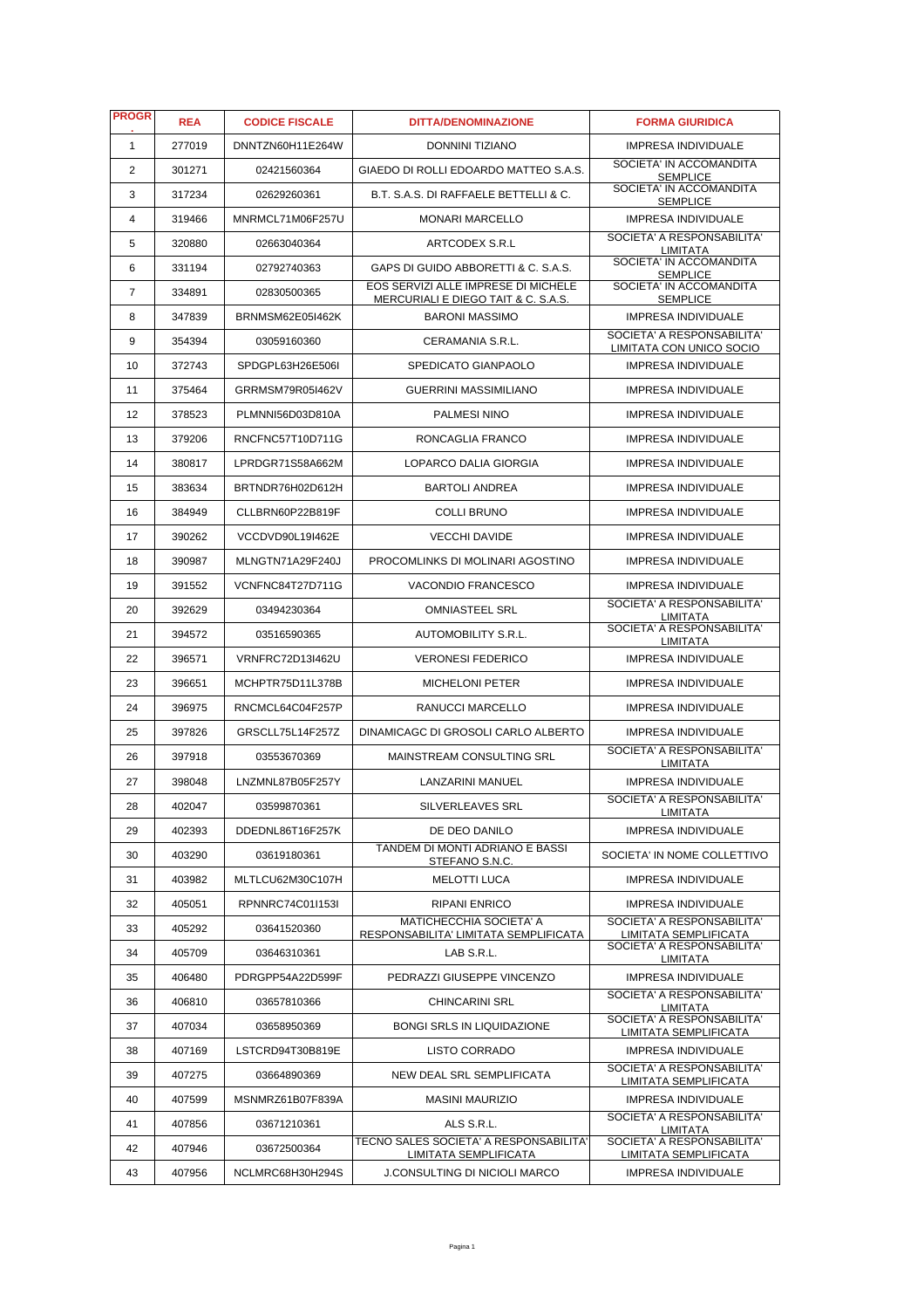| <b>PROGR</b>   | <b>REA</b> | <b>CODICE FISCALE</b>   | <b>DITTA/DENOMINAZIONE</b>                                                 | <b>FORMA GIURIDICA</b>                                 |
|----------------|------------|-------------------------|----------------------------------------------------------------------------|--------------------------------------------------------|
| $\mathbf{1}$   | 277019     | DNNTZN60H11E264W        | DONNINI TIZIANO                                                            | <b>IMPRESA INDIVIDUALE</b>                             |
| 2              | 301271     | 02421560364             | GIAEDO DI ROLLI EDOARDO MATTEO S.A.S.                                      | SOCIETA' IN ACCOMANDITA<br><b>SEMPLICE</b>             |
| 3              | 317234     | 02629260361             | B.T. S.A.S. DI RAFFAELE BETTELLI & C.                                      | SOCIETA' IN ACCOMANDITA<br><b>SEMPLICE</b>             |
| $\overline{4}$ | 319466     | MNRMCL71M06F257U        | <b>MONARI MARCELLO</b>                                                     | IMPRESA INDIVIDUALE                                    |
| 5              | 320880     | 02663040364             | ARTCODEX S.R.L                                                             | SOCIETA' A RESPONSABILITA'<br><b>LIMITATA</b>          |
| 6              | 331194     | 02792740363             | GAPS DI GUIDO ABBORETTI & C. S.A.S.                                        | SOCIETA' IN ACCOMANDITA<br><b>SEMPLICE</b>             |
| $\overline{7}$ | 334891     | 02830500365             | EOS SERVIZI ALLE IMPRESE DI MICHELE<br>MERCURIALI E DIEGO TAIT & C. S.A.S. | SOCIETA' IN ACCOMANDITA<br><b>SEMPLICE</b>             |
| 8              | 347839     | BRNMSM62E05I462K        | <b>BARONI MASSIMO</b>                                                      | IMPRESA INDIVIDUALE                                    |
| 9              | 354394     | 03059160360             | CERAMANIA S.R.L.                                                           | SOCIETA' A RESPONSABILITA'<br>LIMITATA CON UNICO SOCIO |
| 10             | 372743     | SPDGPL63H26E506I        | SPEDICATO GIANPAOLO                                                        | IMPRESA INDIVIDUALE                                    |
| 11             | 375464     | GRRMSM79R05I462V        | <b>GUERRINI MASSIMILIANO</b>                                               | <b>IMPRESA INDIVIDUALE</b>                             |
| 12             | 378523     | PLMNNI56D03D810A        | PALMESI NINO                                                               | <b>IMPRESA INDIVIDUALE</b>                             |
| 13             | 379206     | RNCFNC57T10D711G        | RONCAGLIA FRANCO                                                           | <b>IMPRESA INDIVIDUALE</b>                             |
| 14             | 380817     | LPRDGR71S58A662M        | LOPARCO DALIA GIORGIA                                                      | <b>IMPRESA INDIVIDUALE</b>                             |
| 15             | 383634     | BRTNDR76H02D612H        | <b>BARTOLI ANDREA</b>                                                      | <b>IMPRESA INDIVIDUALE</b>                             |
| 16             | 384949     | CLLBRN60P22B819F        | <b>COLLI BRUNO</b>                                                         | <b>IMPRESA INDIVIDUALE</b>                             |
| 17             | 390262     | VCCDVD90L19I462E        | <b>VECCHI DAVIDE</b>                                                       | <b>IMPRESA INDIVIDUALE</b>                             |
| 18             | 390987     | MLNGTN71A29F240J        | PROCOMLINKS DI MOLINARI AGOSTINO                                           | <b>IMPRESA INDIVIDUALE</b>                             |
| 19             | 391552     | VCNFNC84T27D711G        | VACONDIO FRANCESCO                                                         | <b>IMPRESA INDIVIDUALE</b>                             |
| 20             | 392629     | 03494230364             | <b>OMNIASTEEL SRL</b>                                                      | SOCIETA' A RESPONSABILITA'<br><b>LIMITATA</b>          |
| 21             | 394572     | 03516590365             | AUTOMOBILITY S.R.L.                                                        | SOCIETA' A RESPONSABILITA'<br><b>LIMITATA</b>          |
| 22             | 396571     | <b>VRNFRC72D13I462U</b> | <b>VERONESI FEDERICO</b>                                                   | IMPRESA INDIVIDUALE                                    |
| 23             | 396651     | MCHPTR75D11L378B        | <b>MICHELONI PETER</b>                                                     | <b>IMPRESA INDIVIDUALE</b>                             |
| 24             | 396975     | RNCMCL64C04F257P        | RANUCCI MARCELLO                                                           | <b>IMPRESA INDIVIDUALE</b>                             |
| 25             | 397826     | GRSCLL75L14F257Z        | DINAMICAGC DI GROSOLI CARLO ALBERTO                                        | <b>IMPRESA INDIVIDUALE</b>                             |
| 26             | 397918     | 03553670369             | MAINSTREAM CONSULTING SRL                                                  | SOCIETA' A RESPONSABILITA'<br>LIMITATA                 |
| 27             | 398048     | LNZMNL87B05F257Y        | LANZARINI MANUEL                                                           | <b>IMPRESA INDIVIDUALE</b>                             |
| 28             | 402047     | 03599870361             | <b>SILVERLEAVES SRL</b>                                                    | SOCIETA' A RESPONSABILITA'<br>LIMITATA                 |
| 29             | 402393     | DDEDNL86T16F257K        | DE DEO DANILO                                                              | <b>IMPRESA INDIVIDUALE</b>                             |
| 30             | 403290     | 03619180361             | TANDEM DI MONTI ADRIANO E BASSI<br>STEFANO S.N.C.                          | SOCIETA' IN NOME COLLETTIVO                            |
| 31             | 403982     | MLTLCU62M30C107H        | <b>MELOTTI LUCA</b>                                                        | IMPRESA INDIVIDUALE                                    |
| 32             | 405051     | RPNNRC74C01I153I        | <b>RIPANI ENRICO</b>                                                       | IMPRESA INDIVIDUALE                                    |
| 33             | 405292     | 03641520360             | MATICHECCHIA SOCIETA' A<br>RESPONSABILITA' LIMITATA SEMPLIFICATA           | SOCIETA' A RESPONSABILITA'<br>LIMITATA SEMPLIFICATA    |
| 34             | 405709     | 03646310361             | LAB S.R.L.                                                                 | SOCIETA' A RESPONSABILITA'<br>LIMITATA                 |
| 35             | 406480     | PDRGPP54A22D599F        | PEDRAZZI GIUSEPPE VINCENZO                                                 | IMPRESA INDIVIDUALE                                    |
| 36             | 406810     | 03657810366             | <b>CHINCARINI SRL</b>                                                      | SOCIETA' A RESPONSABILITA'<br>LIMITATA                 |
| 37             | 407034     | 03658950369             | <b>BONGI SRLS IN LIQUIDAZIONE</b>                                          | SOCIETA' A RESPONSABILITA'<br>LIMITATA SEMPLIFICATA    |
| 38             | 407169     | LSTCRD94T30B819E        | <b>LISTO CORRADO</b>                                                       | <b>IMPRESA INDIVIDUALE</b>                             |
| 39             | 407275     | 03664890369             | NEW DEAL SRL SEMPLIFICATA                                                  | SOCIETA' A RESPONSABILITA'<br>LIMITATA SEMPLIFICATA    |
| 40             | 407599     | MSNMRZ61B07F839A        | <b>MASINI MAURIZIO</b>                                                     | <b>IMPRESA INDIVIDUALE</b>                             |
| 41             | 407856     | 03671210361             | ALS S.R.L.                                                                 | SOCIETA' A RESPONSABILITA'<br><b>LIMITATA</b>          |
| 42             | 407946     | 03672500364             | TECNO SALES SOCIETA' A RESPONSABILITA'<br>LIMITATA SEMPLIFICATA            | SOCIETA' A RESPONSABILITA'<br>LIMITATA SEMPLIFICATA    |
| 43             | 407956     | NCLMRC68H30H294S        | J.CONSULTING DI NICIOLI MARCO                                              | IMPRESA INDIVIDUALE                                    |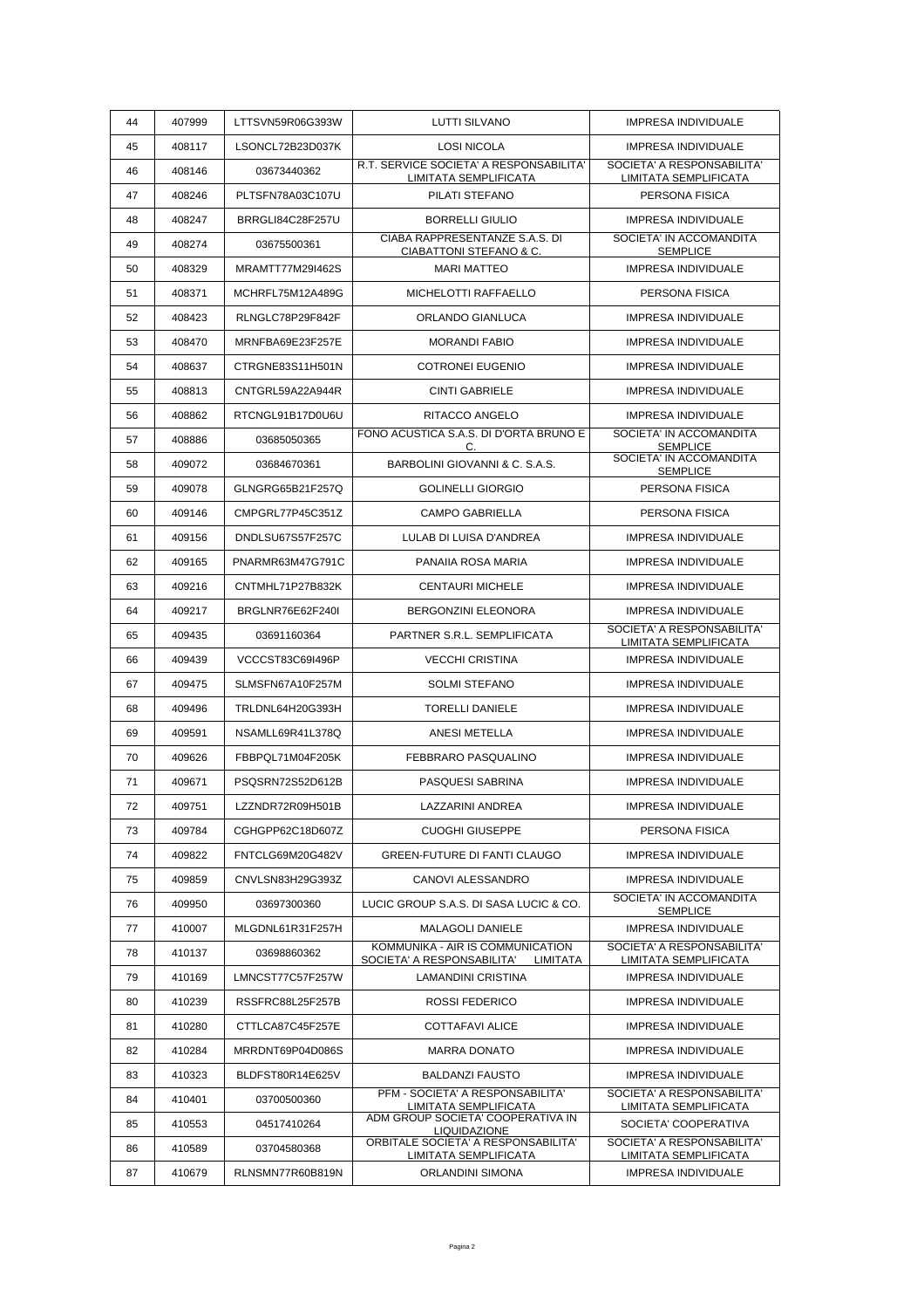| 44 | 407999 | LTTSVN59R06G393W | <b>LUTTI SILVANO</b>                                             | <b>IMPRESA INDIVIDUALE</b>                          |
|----|--------|------------------|------------------------------------------------------------------|-----------------------------------------------------|
| 45 | 408117 | LSONCL72B23D037K | <b>LOSI NICOLA</b>                                               | <b>IMPRESA INDIVIDUALE</b>                          |
| 46 | 408146 | 03673440362      | R.T. SERVICE SOCIETA' A RESPONSABILITA'<br>LIMITATA SEMPLIFICATA | SOCIETA' A RESPONSABILITA'<br>LIMITATA SEMPLIFICATA |
| 47 | 408246 | PLTSFN78A03C107U | PILATI STEFANO                                                   | PERSONA FISICA                                      |
| 48 | 408247 | BRRGLI84C28F257U | <b>BORRELLI GIULIO</b>                                           | <b>IMPRESA INDIVIDUALE</b>                          |
| 49 | 408274 | 03675500361      | CIABA RAPPRESENTANZE S.A.S. DI<br>CIABATTONI STEFANO & C.        | SOCIETA' IN ACCOMANDITA<br><b>SEMPLICE</b>          |
| 50 | 408329 | MRAMTT77M29I462S | <b>MARI MATTEO</b>                                               | IMPRESA INDIVIDUALE                                 |
| 51 | 408371 | MCHRFL75M12A489G | MICHELOTTI RAFFAELLO                                             | PERSONA FISICA                                      |
| 52 | 408423 | RLNGLC78P29F842F | ORLANDO GIANLUCA                                                 | <b>IMPRESA INDIVIDUALE</b>                          |
| 53 | 408470 | MRNFBA69E23F257E | <b>MORANDI FABIO</b>                                             | <b>IMPRESA INDIVIDUALE</b>                          |
| 54 | 408637 | CTRGNE83S11H501N | <b>COTRONEI EUGENIO</b>                                          | <b>IMPRESA INDIVIDUALE</b>                          |
| 55 | 408813 | CNTGRL59A22A944R | <b>CINTI GABRIELE</b>                                            | <b>IMPRESA INDIVIDUALE</b>                          |
| 56 | 408862 | RTCNGL91B17D0U6U | RITACCO ANGELO                                                   | <b>IMPRESA INDIVIDUALE</b>                          |
| 57 | 408886 | 03685050365      | FONO ACUSTICA S.A.S. DI D'ORTA BRUNO E<br>C.                     | SOCIETA' IN ACCOMANDITA<br><b>SEMPLICE</b>          |
| 58 | 409072 | 03684670361      | BARBOLINI GIOVANNI & C. S.A.S.                                   | SOCIETA' IN ACCOMANDITA<br><b>SEMPLICE</b>          |
| 59 | 409078 | GLNGRG65B21F257Q | <b>GOLINELLI GIORGIO</b>                                         | PERSONA FISICA                                      |
| 60 | 409146 | CMPGRL77P45C351Z | <b>CAMPO GABRIELLA</b>                                           | PERSONA FISICA                                      |
| 61 | 409156 | DNDLSU67S57F257C | LULAB DI LUISA D'ANDREA                                          | <b>IMPRESA INDIVIDUALE</b>                          |
| 62 | 409165 | PNARMR63M47G791C | PANAIIA ROSA MARIA                                               | <b>IMPRESA INDIVIDUALE</b>                          |
| 63 | 409216 | CNTMHL71P27B832K | <b>CENTAURI MICHELE</b>                                          | <b>IMPRESA INDIVIDUALE</b>                          |
| 64 | 409217 | BRGLNR76E62F240I | <b>BERGONZINI ELEONORA</b>                                       | <b>IMPRESA INDIVIDUALE</b>                          |
| 65 | 409435 | 03691160364      | PARTNER S.R.L. SEMPLIFICATA                                      | SOCIETA' A RESPONSABILITA'<br>LIMITATA SEMPLIFICATA |
| 66 | 409439 | VCCCST83C69I496P | <b>VECCHI CRISTINA</b>                                           | <b>IMPRESA INDIVIDUALE</b>                          |
| 67 | 409475 | SLMSFN67A10F257M | <b>SOLMI STEFANO</b>                                             | IMPRESA INDIVIDUALE                                 |
| 68 | 409496 | TRLDNL64H20G393H | <b>TORELLI DANIELE</b>                                           | <b>IMPRESA INDIVIDUALE</b>                          |
| 69 | 409591 | NSAMLL69R41L378Q | <b>ANESI METELLA</b>                                             | IMPRESA INDIVIDUALE                                 |
| 70 | 409626 | FBBPQL71M04F205K | FEBBRARO PASQUALINO                                              | <b>IMPRESA INDIVIDUALE</b>                          |
| 71 | 409671 | PSQSRN72S52D612B | PASQUESI SABRINA                                                 | IMPRESA INDIVIDUALE                                 |
| 72 | 409751 | LZZNDR72R09H501B | LAZZARINI ANDREA                                                 | IMPRESA INDIVIDUALE                                 |
| 73 | 409784 | CGHGPP62C18D607Z | <b>CUOGHI GIUSEPPE</b>                                           | PERSONA FISICA                                      |
| 74 | 409822 | FNTCLG69M20G482V | <b>GREEN-FUTURE DI FANTI CLAUGO</b>                              | <b>IMPRESA INDIVIDUALE</b>                          |
| 75 | 409859 | CNVLSN83H29G393Z | CANOVI ALESSANDRO                                                | <b>IMPRESA INDIVIDUALE</b>                          |
| 76 | 409950 | 03697300360      | LUCIC GROUP S.A.S. DI SASA LUCIC & CO.                           | SOCIETA' IN ACCOMANDITA                             |
| 77 | 410007 | MLGDNL61R31F257H | MALAGOLI DANIELE                                                 | <b>SEMPLICE</b><br>IMPRESA INDIVIDUALE              |
| 78 | 410137 | 03698860362      | KOMMUNIKA - AIR IS COMMUNICATION                                 | SOCIETA' A RESPONSABILITA'                          |
| 79 | 410169 | LMNCST77C57F257W | SOCIETA' A RESPONSABILITA' LIMITATA<br><b>LAMANDINI CRISTINA</b> | LIMITATA SEMPLIFICATA<br>IMPRESA INDIVIDUALE        |
| 80 | 410239 | RSSFRC88L25F257B | <b>ROSSI FEDERICO</b>                                            | <b>IMPRESA INDIVIDUALE</b>                          |
| 81 | 410280 | CTTLCA87C45F257E | <b>COTTAFAVI ALICE</b>                                           | IMPRESA INDIVIDUALE                                 |
| 82 | 410284 | MRRDNT69P04D086S | <b>MARRA DONATO</b>                                              | <b>IMPRESA INDIVIDUALE</b>                          |
| 83 | 410323 | BLDFST80R14E625V | <b>BALDANZI FAUSTO</b>                                           | IMPRESA INDIVIDUALE                                 |
|    |        |                  | PFM - SOCIETA' A RESPONSABILITA'                                 | SOCIETA' A RESPONSABILITA'                          |
| 84 | 410401 | 03700500360      | LIMITATA SEMPLIFICATA<br>ADM GROUP SOCIETA' COOPERATIVA IN       | LIMITATA SEMPLIFICATA                               |
| 85 | 410553 | 04517410264      | LIQUIDAZIONE<br>ORBITALE SOCIETA' A RESPONSABILITA'              | SOCIETA' COOPERATIVA<br>SOCIETA' A RESPONSABILITA'  |
| 86 | 410589 | 03704580368      | LIMITATA SEMPLIFICATA                                            | LIMITATA SEMPLIFICATA                               |
| 87 | 410679 | RLNSMN77R60B819N | ORLANDINI SIMONA                                                 | IMPRESA INDIVIDUALE                                 |